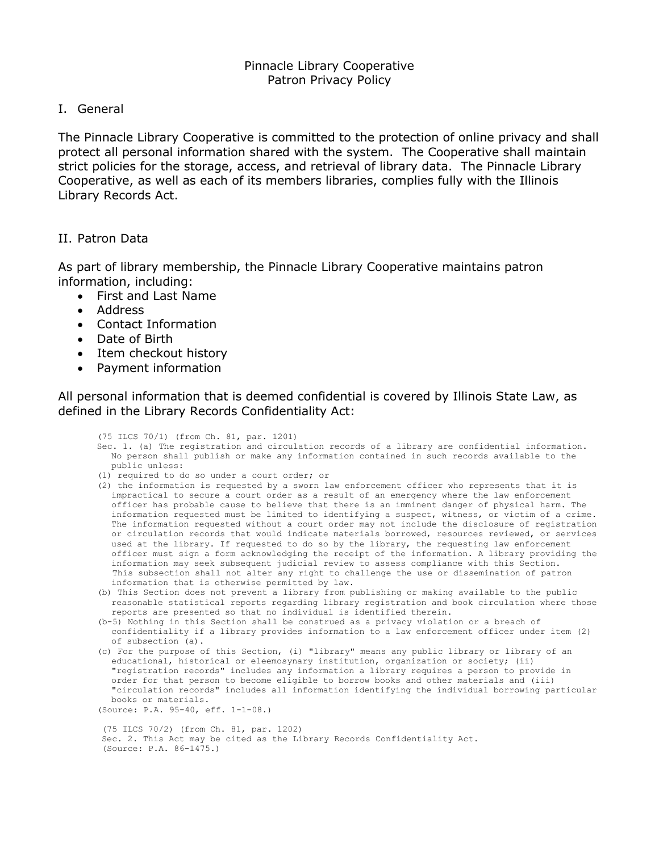I. General

The Pinnacle Library Cooperative is committed to the protection of online privacy and shall protect all personal information shared with the system. The Cooperative shall maintain strict policies for the storage, access, and retrieval of library data. The Pinnacle Library Cooperative, as well as each of its members libraries, complies fully with the Illinois Library Records Act.

## II. Patron Data

As part of library membership, the Pinnacle Library Cooperative maintains patron information, including:

- First and Last Name
- Address
- Contact Information
- Date of Birth
- Item checkout history
- Payment information

All personal information that is deemed confidential is covered by Illinois State Law, as defined in the Library Records Confidentiality Act:

(75 ILCS 70/1) (from Ch. 81, par. 1201)

- Sec. 1. (a) The registration and circulation records of a library are confidential information. No person shall publish or make any information contained in such records available to the public unless:
- (1) required to do so under a court order; or
- (2) the information is requested by a sworn law enforcement officer who represents that it is impractical to secure a court order as a result of an emergency where the law enforcement officer has probable cause to believe that there is an imminent danger of physical harm. The information requested must be limited to identifying a suspect, witness, or victim of a crime. The information requested without a court order may not include the disclosure of registration or circulation records that would indicate materials borrowed, resources reviewed, or services used at the library. If requested to do so by the library, the requesting law enforcement officer must sign a form acknowledging the receipt of the information. A library providing the information may seek subsequent judicial review to assess compliance with this Section. This subsection shall not alter any right to challenge the use or dissemination of patron information that is otherwise permitted by law.
- (b) This Section does not prevent a library from publishing or making available to the public reasonable statistical reports regarding library registration and book circulation where those reports are presented so that no individual is identified therein.
- (b-5) Nothing in this Section shall be construed as a privacy violation or a breach of confidentiality if a library provides information to a law enforcement officer under item (2) of subsection (a).
- (c) For the purpose of this Section, (i) "library" means any public library or library of an educational, historical or eleemosynary institution, organization or society; (ii) "registration records" includes any information a library requires a person to provide in order for that person to become eligible to borrow books and other materials and (iii) "circulation records" includes all information identifying the individual borrowing particular books or materials.

```
(Source: P.A. 95-40, eff. 1-1-08.)
```
(75 ILCS 70/2) (from Ch. 81, par. 1202) Sec. 2. This Act may be cited as the Library Records Confidentiality Act. (Source: P.A. 86-1475.)